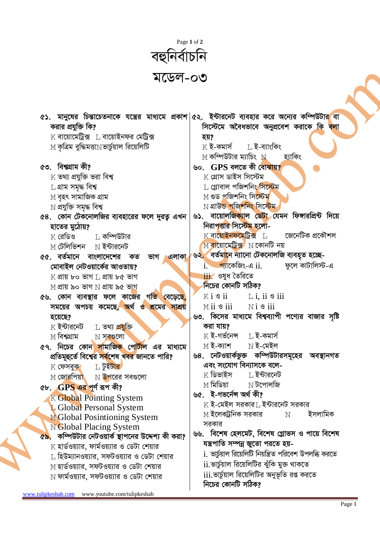

|                                                                                  | ৫১. মানুষের চিন্তাচেতনাকে যন্ত্রের মাধ্যমে প্রকাশ ৫২. ইন্টারনেট ব্যবহার করে অন্যের কম্পিউটার বা |
|----------------------------------------------------------------------------------|-------------------------------------------------------------------------------------------------|
| করার প্রযুক্তি কি?                                                               | সিস্টেমে অবৈধভাবে অনুপ্রবেশ করাকে কি <mark>বলা</mark>                                           |
| $\boldsymbol{\mathrm{K}}$ বায়োমেট্রিক্স $\hskip 10pt \perp$ বায়োইনফর মেট্রিক্স | হয়?                                                                                            |
| $\le$ কৃত্রিম বুদ্ধিমত্তা $\le$ ভার্চুয়াল রিয়েলিটি                             | $K$ ই-কমার্স $L$ ই-ব্যাংকিং                                                                     |
|                                                                                  | $\le$ শ কম্পিউটার ম্যাচিং $\le$ $\le$<br>হ্যাকিং                                                |
| ৫৩. বিশ্বগ্রাম কী?                                                               | ৬০. GPS বলতে কী বোঝায়?                                                                         |
| $\boldsymbol{\mathrm{K}}$ তথ্য প্ৰযুক্তি ভরা বিশ্ব                               | $K$ গ্ৰোস ডাইস সিস্টেম                                                                          |
| $\mathop{\hbox{L}}$ গ্ৰাম সমৃদ্ধ বিশ্ব                                           | L গ্লোবাল পজিশনিং সিস্টেম                                                                       |
| $M$ বৃহৎ সামাজিক গ্ৰাম                                                           | M গুড প্ৰজিশনিং সি <mark>স্</mark> টেম                                                          |
| $\rm N$ প্ৰযুক্তি সমৃদ্ধ বিশ্ব                                                   | $N$ গ্ৰাউন্ড পজিশনিং সিস্টেম                                                                    |
| ৫৪. কোন টেকনোলজির ব্যবহারের ফলে দুরত্ব এখন                                       | ৬১. বায়োলজিক্যাল ডেটা যেমন ফিঙ্গারপ্রিন্ট দিয়ে                                                |
| হাতের মুঠোয়?                                                                    | নিরাপত্তার সিস্টেম হলো-                                                                         |
| $\boldsymbol{\mathrm{K}}$ রেডিও $\hskip10mm\boldsymbol{\mathrm{L}}$ কম্পিউটার    | $K$ বায়োইনফমেট্ৰিক্স $L$ তেলেটিক প্ৰকৌশল                                                       |
| $\,$ M টেলিভিশন $\,$ N ইন্টারনেট                                                 | $M$ বায়োমেটিক্স $M$ ম কোনটি নয়                                                                |
| ৫৫. বর্তমানে বাংলাদেশের কত<br>ভাগ এলাকা                                          | ৬২ <mark>. বৰ্তমানে ন্যানো টেকনোলজি ব্যবহৃত হচ্ছে</mark> -                                      |
| মোবাইল নেটওয়ার্কের আওতায়?                                                      | <u>্প্যা</u> কেজিং-এ ii.          ফুলে কাটালিস্ট-এ<br>1.                                        |
| $K$ প্ৰায় ৮০ ভাগ $L$ প্ৰায় ৮৫ ভাগ                                              | $\overline{\text{iii}}$ ওষুধ তৈরিতে<br>নিচের কোনটি সঠিক?                                        |
| $M$ প্রায় ৯০ ভাগ $N$ প্রায় ৯৫ ভাগ                                              |                                                                                                 |
| ৫৬. কোন ব্যবস্থার ফলে কাজের গতি বেড়েছে,                                         | $K i$ $\circ$ ii $\qquad$ L i, ii $\circ$ iii                                                   |
| সময়ের অপচয় কমেছে <mark>, অ</mark> র্থ ও শ্রমের সাশ্রয়                         | $M$ ii $\mathcal S$ iii<br>$Ni$ is $i$                                                          |
| হয়েছে?                                                                          | ৬৩. কিসের মাধ্যমে বিশ্বব্যাপী পণ্যের বাজার সৃষ্টি<br>করা যায়?                                  |
| $\rm K$ ইন্টারনেট $\rm ~\,$ L তথ্য প্রযুক্তি<br>M বিশ্বগ্রাম                     | $K$ ই-গৰ্ভনেন্স $L$ ই-কমাৰ্স                                                                    |
| ৫৭. নিচের কোন সামাজিক পোর্টাল এর মাধ্যমে                                         | $M$ ই-ক্যাশ $N$ ই-মেইল                                                                          |
| প্রতিমূহুর্তে বিশ্বের সর্বশেষ খবর জানতে পারি?                                    | ৬৪. নেটওয়ার্কভুক্ত কম্পিউটারসমূহের অবস্থানগত                                                   |
| $K$ ফেসবুক $L$ টুইটার                                                            | এবং সংযোগ বিন্যাসকে বলে-                                                                        |
| $M$ জোরপিয়া $N$ উপরের সবগুলো                                                    | ∐ ইন্টারনেট<br>$\rm K$ ডিভাইস                                                                   |
| ৫৮. $GPS$ এর পূর্ণ রূপ কী?                                                       | <u>M</u> মিডিয়া<br>$\mathrm{N}$ টপোলজি                                                         |
| K Global Pointing System                                                         | ৬৫. ই-গভৰ্নেন্স অৰ্থ কী?                                                                        |
| L Global Personal System                                                         | $\rm K$ ই-মেইল সরকার $\rm L$ ইন্টারনেট সরকার                                                    |
| M Global Posintioning System                                                     | $\le$ ইলেক্ট্রনিক সরকার<br>ইসলামিক<br>N                                                         |
| N Global Placing System                                                          | সরকার                                                                                           |
| <mark>৫৯.</mark> কম্পিউটার নেটওয়ার্ক স্থাপনের উদ্দেশ্য কী করা?                  | ৬৬.  বিশেষ হেলমেট, বিশেষ গ্লোভস ও পায়ে বিশেষ                                                   |
| $\boldsymbol{\mathrm{K}}$ হার্ডওয়্যার, ফার্মওয়্যার ও ডেটা শেয়ার               | যন্ত্রপাতি সম্পন্ন জুতো পরতে হয়-                                                               |
| $\,$ হিউম্যানওয়্যার, সফটওয়্যার ও ডেটা শেয়ার                                   | i. ভাৰ্চুয়াল রিয়েলিটি নিয়ন্ত্রিত পরিবেশ উপলব্ধি করতে                                         |
| $M$ হার্ডওয়্যার, সফটওয়্যার ও ডেটা শেয়ার                                       | ii.ভার্চুয়াল রিয়েলিটির ঝুঁকি মুক্ত থাকতে                                                      |
| $\rm N$ ফার্মওয়্যার, সফটওয়্যার ও ডেটা শেয়ার                                   | iii.ভার্চুয়াল রিয়েলিটির অনুভূতি রপ্ত করতে                                                     |
|                                                                                  | নিচের কোনটি সঠিক?                                                                               |

www.tulipkeshab.com www.youtube.com/tulipkeshab